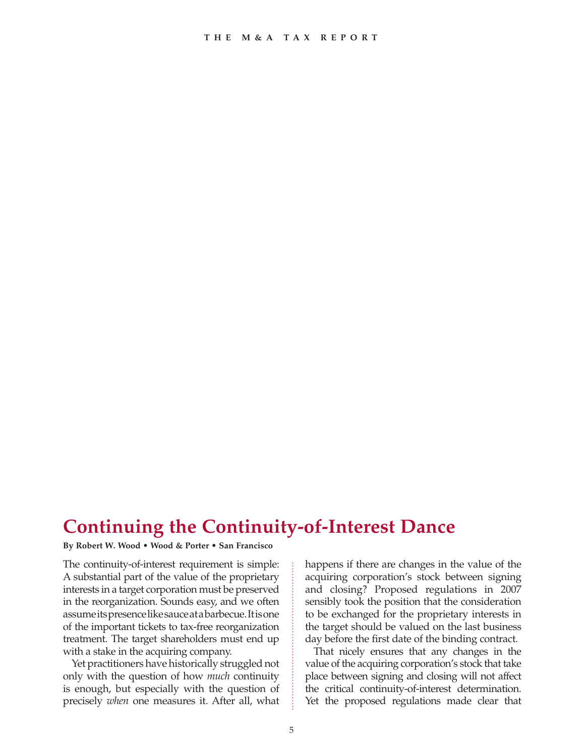## **Continuing the Continuity-of-Interest Dance**

**By Robert W. Wood • Wood & Porter • San Francisco**

The continuity-of-interest requirement is simple: A substantial part of the value of the proprietary interests in a target corporation must be preserved in the reorganization. Sounds easy, and we often assume its presence like sauce at a barbecue. It is one of the important tickets to tax-free reorganization treatment. The target shareholders must end up with a stake in the acquiring company.

Yet practitioners have historically struggled not only with the question of how *much* continuity is enough, but especially with the question of precisely *when* one measures it. After all, what happens if there are changes in the value of the acquiring corporation's stock between signing and closing? Proposed regulations in 2007 sensibly took the position that the consideration to be exchanged for the proprietary interests in the target should be valued on the last business day before the first date of the binding contract.

That nicely ensures that any changes in the value of the acquiring corporation's stock that take place between signing and closing will not affect the critical continuity-of-interest determination. Yet the proposed regulations made clear that